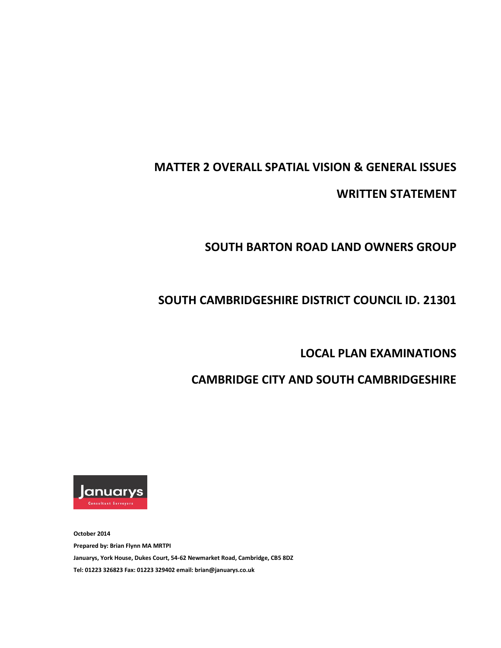## **MATTER 2 OVERALL SPATIAL VISION & GENERAL ISSUES**

**WRITTEN STATEMENT**

# **SOUTH BARTON ROAD LAND OWNERS GROUP**

# **SOUTH CAMBRIDGESHIRE DISTRICT COUNCIL ID. 21301**

### **LOCAL PLAN EXAMINATIONS**

# **CAMBRIDGE CITY AND SOUTH CAMBRIDGESHIRE**



**October 2014 Prepared by: Brian Flynn MA MRTPI Januarys, York House, Dukes Court, 54-62 Newmarket Road, Cambridge, CB5 8DZ Tel: 01223 326823 Fax: 01223 329402 email: brian@januarys.co.uk**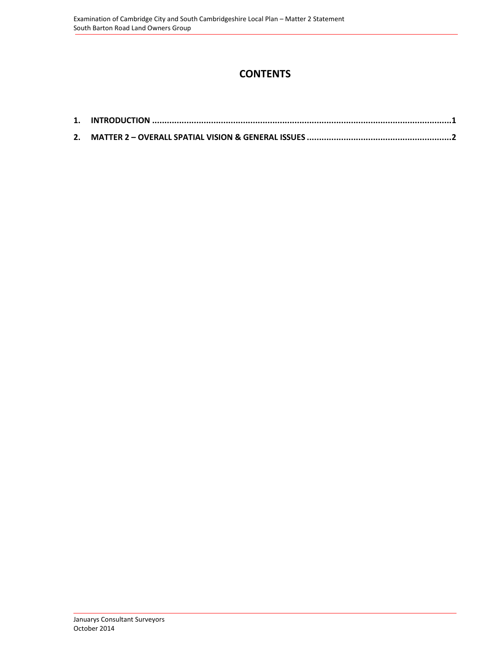### **CONTENTS**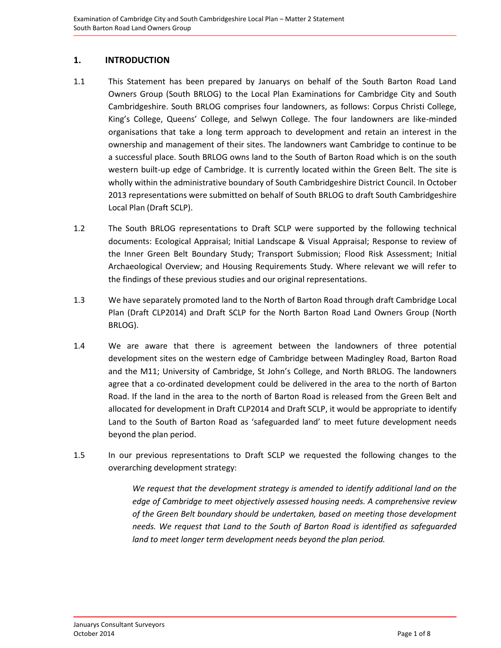### <span id="page-4-0"></span>**1. INTRODUCTION**

- 1.1 This Statement has been prepared by Januarys on behalf of the South Barton Road Land Owners Group (South BRLOG) to the Local Plan Examinations for Cambridge City and South Cambridgeshire. South BRLOG comprises four landowners, as follows: Corpus Christi College, King's College, Queens' College, and Selwyn College. The four landowners are like-minded organisations that take a long term approach to development and retain an interest in the ownership and management of their sites. The landowners want Cambridge to continue to be a successful place. South BRLOG owns land to the South of Barton Road which is on the south western built-up edge of Cambridge. It is currently located within the Green Belt. The site is wholly within the administrative boundary of South Cambridgeshire District Council. In October 2013 representations were submitted on behalf of South BRLOG to draft South Cambridgeshire Local Plan (Draft SCLP).
- 1.2 The South BRLOG representations to Draft SCLP were supported by the following technical documents: Ecological Appraisal; Initial Landscape & Visual Appraisal; Response to review of the Inner Green Belt Boundary Study; Transport Submission; Flood Risk Assessment; Initial Archaeological Overview; and Housing Requirements Study. Where relevant we will refer to the findings of these previous studies and our original representations.
- 1.3 We have separately promoted land to the North of Barton Road through draft Cambridge Local Plan (Draft CLP2014) and Draft SCLP for the North Barton Road Land Owners Group (North BRLOG).
- 1.4 We are aware that there is agreement between the landowners of three potential development sites on the western edge of Cambridge between Madingley Road, Barton Road and the M11; University of Cambridge, St John's College, and North BRLOG. The landowners agree that a co-ordinated development could be delivered in the area to the north of Barton Road. If the land in the area to the north of Barton Road is released from the Green Belt and allocated for development in Draft CLP2014 and Draft SCLP, it would be appropriate to identify Land to the South of Barton Road as 'safeguarded land' to meet future development needs beyond the plan period.
- 1.5 In our previous representations to Draft SCLP we requested the following changes to the overarching development strategy:

*We request that the development strategy is amended to identify additional land on the edge of Cambridge to meet objectively assessed housing needs. A comprehensive review of the Green Belt boundary should be undertaken, based on meeting those development needs. We request that Land to the South of Barton Road is identified as safeguarded land to meet longer term development needs beyond the plan period.*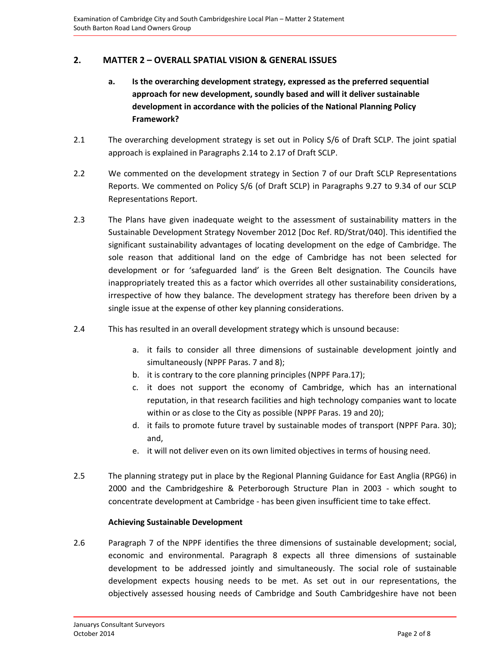### **2. MATTER 2 – OVERALL SPATIAL VISION & GENERAL ISSUES**

- **a. Is the overarching development strategy, expressed as the preferred sequential approach for new development, soundly based and will it deliver sustainable development in accordance with the policies of the National Planning Policy Framework?**
- 2.1 The overarching development strategy is set out in Policy S/6 of Draft SCLP. The joint spatial approach is explained in Paragraphs 2.14 to 2.17 of Draft SCLP.
- 2.2 We commented on the development strategy in Section 7 of our Draft SCLP Representations Reports. We commented on Policy S/6 (of Draft SCLP) in Paragraphs 9.27 to 9.34 of our SCLP Representations Report.
- 2.3 The Plans have given inadequate weight to the assessment of sustainability matters in the Sustainable Development Strategy November 2012 [Doc Ref. RD/Strat/040]. This identified the significant sustainability advantages of locating development on the edge of Cambridge. The sole reason that additional land on the edge of Cambridge has not been selected for development or for 'safeguarded land' is the Green Belt designation. The Councils have inappropriately treated this as a factor which overrides all other sustainability considerations, irrespective of how they balance. The development strategy has therefore been driven by a single issue at the expense of other key planning considerations.
- 2.4 This has resulted in an overall development strategy which is unsound because:
	- a. it fails to consider all three dimensions of sustainable development jointly and simultaneously (NPPF Paras. 7 and 8);
	- b. it is contrary to the core planning principles (NPPF Para.17);
	- c. it does not support the economy of Cambridge, which has an international reputation, in that research facilities and high technology companies want to locate within or as close to the City as possible (NPPF Paras. 19 and 20);
	- d. it fails to promote future travel by sustainable modes of transport (NPPF Para. 30); and,
	- e. it will not deliver even on its own limited objectives in terms of housing need.
- 2.5 The planning strategy put in place by the Regional Planning Guidance for East Anglia (RPG6) in 2000 and the Cambridgeshire & Peterborough Structure Plan in 2003 - which sought to concentrate development at Cambridge - has been given insufficient time to take effect.

#### **Achieving Sustainable Development**

2.6 Paragraph 7 of the NPPF identifies the three dimensions of sustainable development; social, economic and environmental. Paragraph 8 expects all three dimensions of sustainable development to be addressed jointly and simultaneously. The social role of sustainable development expects housing needs to be met. As set out in our representations, the objectively assessed housing needs of Cambridge and South Cambridgeshire have not been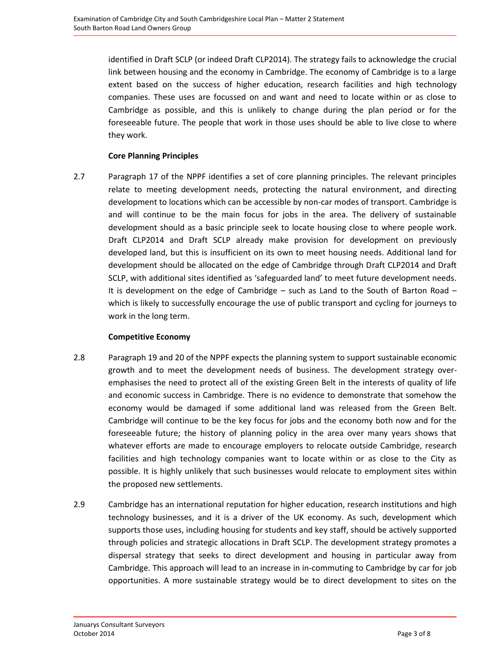identified in Draft SCLP (or indeed Draft CLP2014). The strategy fails to acknowledge the crucial link between housing and the economy in Cambridge. The economy of Cambridge is to a large extent based on the success of higher education, research facilities and high technology companies. These uses are focussed on and want and need to locate within or as close to Cambridge as possible, and this is unlikely to change during the plan period or for the foreseeable future. The people that work in those uses should be able to live close to where they work.

#### **Core Planning Principles**

2.7 Paragraph 17 of the NPPF identifies a set of core planning principles. The relevant principles relate to meeting development needs, protecting the natural environment, and directing development to locations which can be accessible by non-car modes of transport. Cambridge is and will continue to be the main focus for jobs in the area. The delivery of sustainable development should as a basic principle seek to locate housing close to where people work. Draft CLP2014 and Draft SCLP already make provision for development on previously developed land, but this is insufficient on its own to meet housing needs. Additional land for development should be allocated on the edge of Cambridge through Draft CLP2014 and Draft SCLP, with additional sites identified as 'safeguarded land' to meet future development needs. It is development on the edge of Cambridge  $-$  such as Land to the South of Barton Road  $$ which is likely to successfully encourage the use of public transport and cycling for journeys to work in the long term.

#### **Competitive Economy**

- 2.8 Paragraph 19 and 20 of the NPPF expects the planning system to support sustainable economic growth and to meet the development needs of business. The development strategy overemphasises the need to protect all of the existing Green Belt in the interests of quality of life and economic success in Cambridge. There is no evidence to demonstrate that somehow the economy would be damaged if some additional land was released from the Green Belt. Cambridge will continue to be the key focus for jobs and the economy both now and for the foreseeable future; the history of planning policy in the area over many years shows that whatever efforts are made to encourage employers to relocate outside Cambridge, research facilities and high technology companies want to locate within or as close to the City as possible. It is highly unlikely that such businesses would relocate to employment sites within the proposed new settlements.
- 2.9 Cambridge has an international reputation for higher education, research institutions and high technology businesses, and it is a driver of the UK economy. As such, development which supports those uses, including housing for students and key staff, should be actively supported through policies and strategic allocations in Draft SCLP. The development strategy promotes a dispersal strategy that seeks to direct development and housing in particular away from Cambridge. This approach will lead to an increase in in-commuting to Cambridge by car for job opportunities. A more sustainable strategy would be to direct development to sites on the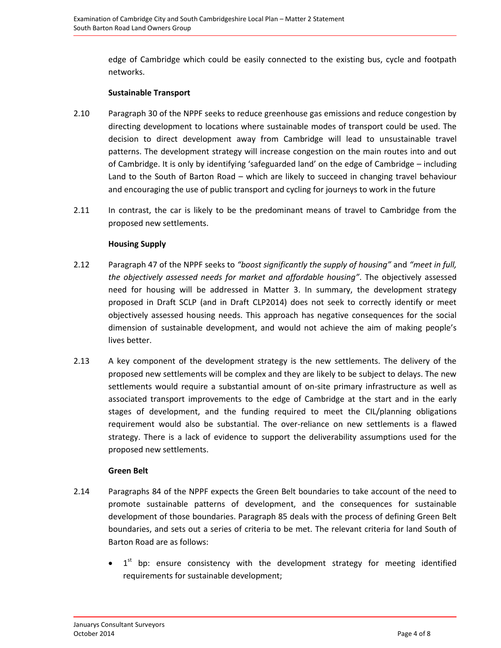edge of Cambridge which could be easily connected to the existing bus, cycle and footpath networks.

#### **Sustainable Transport**

- 2.10 Paragraph 30 of the NPPF seeks to reduce greenhouse gas emissions and reduce congestion by directing development to locations where sustainable modes of transport could be used. The decision to direct development away from Cambridge will lead to unsustainable travel patterns. The development strategy will increase congestion on the main routes into and out of Cambridge. It is only by identifying 'safeguarded land' on the edge of Cambridge – including Land to the South of Barton Road – which are likely to succeed in changing travel behaviour and encouraging the use of public transport and cycling for journeys to work in the future
- 2.11 In contrast, the car is likely to be the predominant means of travel to Cambridge from the proposed new settlements.

#### **Housing Supply**

- 2.12 Paragraph 47 of the NPPF seeks to *"boost significantly the supply of housing"* and *"meet in full, the objectively assessed needs for market and affordable housing"*. The objectively assessed need for housing will be addressed in Matter 3. In summary, the development strategy proposed in Draft SCLP (and in Draft CLP2014) does not seek to correctly identify or meet objectively assessed housing needs. This approach has negative consequences for the social dimension of sustainable development, and would not achieve the aim of making people's lives better.
- 2.13 A key component of the development strategy is the new settlements. The delivery of the proposed new settlements will be complex and they are likely to be subject to delays. The new settlements would require a substantial amount of on-site primary infrastructure as well as associated transport improvements to the edge of Cambridge at the start and in the early stages of development, and the funding required to meet the CIL/planning obligations requirement would also be substantial. The over-reliance on new settlements is a flawed strategy. There is a lack of evidence to support the deliverability assumptions used for the proposed new settlements.

#### **Green Belt**

- 2.14 Paragraphs 84 of the NPPF expects the Green Belt boundaries to take account of the need to promote sustainable patterns of development, and the consequences for sustainable development of those boundaries. Paragraph 85 deals with the process of defining Green Belt boundaries, and sets out a series of criteria to be met. The relevant criteria for land South of Barton Road are as follows:
	- $\bullet$  1<sup>st</sup> bp: ensure consistency with the development strategy for meeting identified requirements for sustainable development;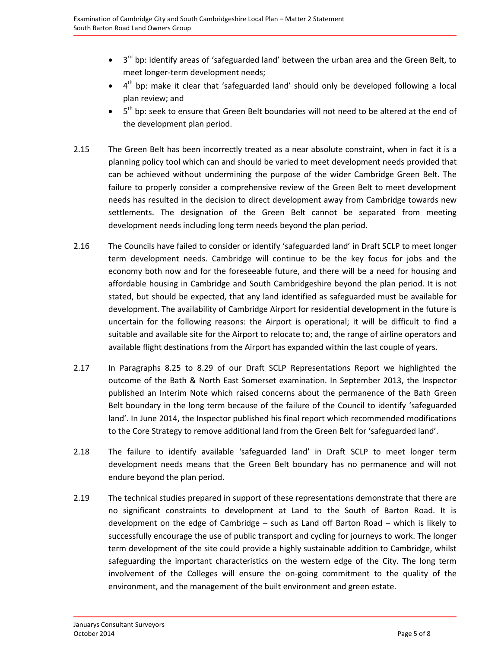- $\bullet$  3<sup>rd</sup> bp: identify areas of 'safeguarded land' between the urban area and the Green Belt, to meet longer-term development needs;
- $\bullet$  4<sup>th</sup> bp: make it clear that 'safeguarded land' should only be developed following a local plan review; and
- $\bullet$  5<sup>th</sup> bp: seek to ensure that Green Belt boundaries will not need to be altered at the end of the development plan period.
- 2.15 The Green Belt has been incorrectly treated as a near absolute constraint, when in fact it is a planning policy tool which can and should be varied to meet development needs provided that can be achieved without undermining the purpose of the wider Cambridge Green Belt. The failure to properly consider a comprehensive review of the Green Belt to meet development needs has resulted in the decision to direct development away from Cambridge towards new settlements. The designation of the Green Belt cannot be separated from meeting development needs including long term needs beyond the plan period.
- 2.16 The Councils have failed to consider or identify 'safeguarded land' in Draft SCLP to meet longer term development needs. Cambridge will continue to be the key focus for jobs and the economy both now and for the foreseeable future, and there will be a need for housing and affordable housing in Cambridge and South Cambridgeshire beyond the plan period. It is not stated, but should be expected, that any land identified as safeguarded must be available for development. The availability of Cambridge Airport for residential development in the future is uncertain for the following reasons: the Airport is operational; it will be difficult to find a suitable and available site for the Airport to relocate to; and, the range of airline operators and available flight destinations from the Airport has expanded within the last couple of years.
- 2.17 In Paragraphs 8.25 to 8.29 of our Draft SCLP Representations Report we highlighted the outcome of the Bath & North East Somerset examination. In September 2013, the Inspector published an Interim Note which raised concerns about the permanence of the Bath Green Belt boundary in the long term because of the failure of the Council to identify 'safeguarded land'. In June 2014, the Inspector published his final report which recommended modifications to the Core Strategy to remove additional land from the Green Belt for 'safeguarded land'.
- 2.18 The failure to identify available 'safeguarded land' in Draft SCLP to meet longer term development needs means that the Green Belt boundary has no permanence and will not endure beyond the plan period.
- 2.19 The technical studies prepared in support of these representations demonstrate that there are no significant constraints to development at Land to the South of Barton Road. It is development on the edge of Cambridge – such as Land off Barton Road – which is likely to successfully encourage the use of public transport and cycling for journeys to work. The longer term development of the site could provide a highly sustainable addition to Cambridge, whilst safeguarding the important characteristics on the western edge of the City. The long term involvement of the Colleges will ensure the on-going commitment to the quality of the environment, and the management of the built environment and green estate.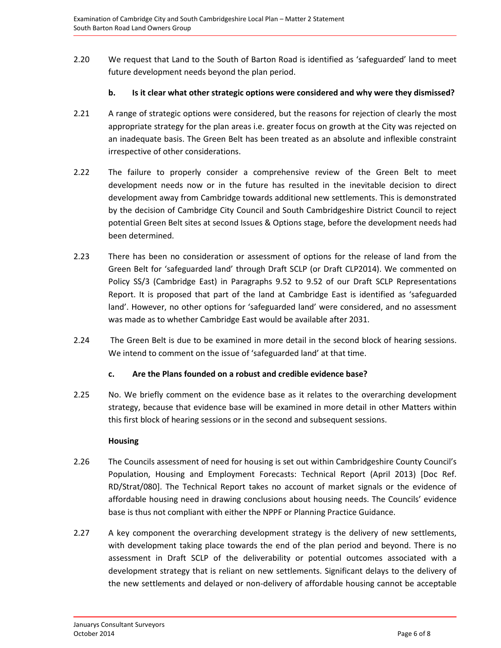2.20 We request that Land to the South of Barton Road is identified as 'safeguarded' land to meet future development needs beyond the plan period.

#### **b. Is it clear what other strategic options were considered and why were they dismissed?**

- 2.21 A range of strategic options were considered, but the reasons for rejection of clearly the most appropriate strategy for the plan areas i.e. greater focus on growth at the City was rejected on an inadequate basis. The Green Belt has been treated as an absolute and inflexible constraint irrespective of other considerations.
- 2.22 The failure to properly consider a comprehensive review of the Green Belt to meet development needs now or in the future has resulted in the inevitable decision to direct development away from Cambridge towards additional new settlements. This is demonstrated by the decision of Cambridge City Council and South Cambridgeshire District Council to reject potential Green Belt sites at second Issues & Options stage, before the development needs had been determined.
- 2.23 There has been no consideration or assessment of options for the release of land from the Green Belt for 'safeguarded land' through Draft SCLP (or Draft CLP2014). We commented on Policy SS/3 (Cambridge East) in Paragraphs 9.52 to 9.52 of our Draft SCLP Representations Report. It is proposed that part of the land at Cambridge East is identified as 'safeguarded land'. However, no other options for 'safeguarded land' were considered, and no assessment was made as to whether Cambridge East would be available after 2031.
- 2.24 The Green Belt is due to be examined in more detail in the second block of hearing sessions. We intend to comment on the issue of 'safeguarded land' at that time.

#### **c. Are the Plans founded on a robust and credible evidence base?**

2.25 No. We briefly comment on the evidence base as it relates to the overarching development strategy, because that evidence base will be examined in more detail in other Matters within this first block of hearing sessions or in the second and subsequent sessions.

#### **Housing**

- 2.26 The Councils assessment of need for housing is set out within Cambridgeshire County Council's Population, Housing and Employment Forecasts: Technical Report (April 2013) [Doc Ref. RD/Strat/080]. The Technical Report takes no account of market signals or the evidence of affordable housing need in drawing conclusions about housing needs. The Councils' evidence base is thus not compliant with either the NPPF or Planning Practice Guidance.
- 2.27 A key component the overarching development strategy is the delivery of new settlements, with development taking place towards the end of the plan period and beyond. There is no assessment in Draft SCLP of the deliverability or potential outcomes associated with a development strategy that is reliant on new settlements. Significant delays to the delivery of the new settlements and delayed or non-delivery of affordable housing cannot be acceptable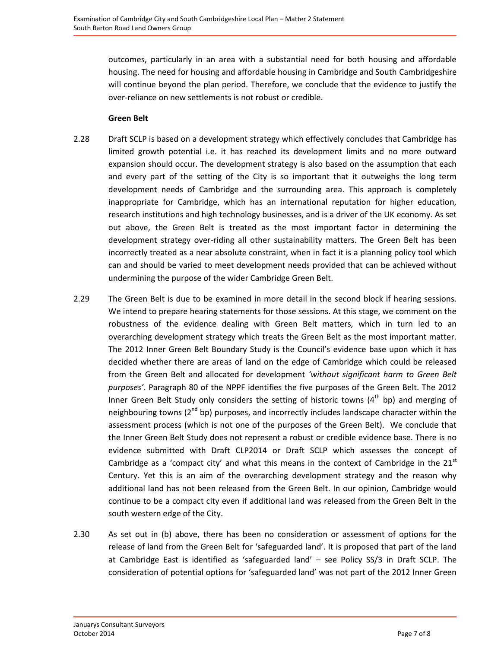outcomes, particularly in an area with a substantial need for both housing and affordable housing. The need for housing and affordable housing in Cambridge and South Cambridgeshire will continue beyond the plan period. Therefore, we conclude that the evidence to justify the over-reliance on new settlements is not robust or credible.

#### **Green Belt**

- 2.28 Draft SCLP is based on a development strategy which effectively concludes that Cambridge has limited growth potential i.e. it has reached its development limits and no more outward expansion should occur. The development strategy is also based on the assumption that each and every part of the setting of the City is so important that it outweighs the long term development needs of Cambridge and the surrounding area. This approach is completely inappropriate for Cambridge, which has an international reputation for higher education, research institutions and high technology businesses, and is a driver of the UK economy. As set out above, the Green Belt is treated as the most important factor in determining the development strategy over-riding all other sustainability matters. The Green Belt has been incorrectly treated as a near absolute constraint, when in fact it is a planning policy tool which can and should be varied to meet development needs provided that can be achieved without undermining the purpose of the wider Cambridge Green Belt.
- 2.29 The Green Belt is due to be examined in more detail in the second block if hearing sessions. We intend to prepare hearing statements for those sessions. At this stage, we comment on the robustness of the evidence dealing with Green Belt matters, which in turn led to an overarching development strategy which treats the Green Belt as the most important matter. The 2012 Inner Green Belt Boundary Study is the Council's evidence base upon which it has decided whether there are areas of land on the edge of Cambridge which could be released from the Green Belt and allocated for development *'without significant harm to Green Belt purposes'*. Paragraph 80 of the NPPF identifies the five purposes of the Green Belt. The 2012 Inner Green Belt Study only considers the setting of historic towns  $(4<sup>th</sup>$  bp) and merging of neighbouring towns  $(2^{nd}$  bp) purposes, and incorrectly includes landscape character within the assessment process (which is not one of the purposes of the Green Belt). We conclude that the Inner Green Belt Study does not represent a robust or credible evidence base. There is no evidence submitted with Draft CLP2014 or Draft SCLP which assesses the concept of Cambridge as a 'compact city' and what this means in the context of Cambridge in the  $21<sup>st</sup>$ Century. Yet this is an aim of the overarching development strategy and the reason why additional land has not been released from the Green Belt. In our opinion, Cambridge would continue to be a compact city even if additional land was released from the Green Belt in the south western edge of the City.
- 2.30 As set out in (b) above, there has been no consideration or assessment of options for the release of land from the Green Belt for 'safeguarded land'. It is proposed that part of the land at Cambridge East is identified as 'safeguarded land' – see Policy SS/3 in Draft SCLP. The consideration of potential options for 'safeguarded land' was not part of the 2012 Inner Green